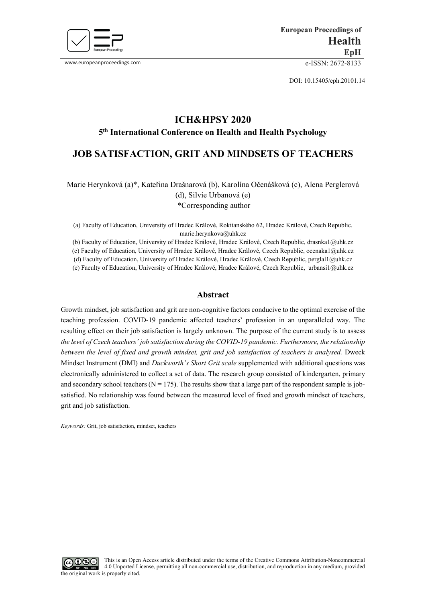

www.europeanproceedings.com e-ISSN: 2672-8133

DOI: 10.15405/eph.20101.14

# **ICH&HPSY 2020 5th International Conference on Health and Health Psychology**

## **JOB SATISFACTION, GRIT AND MINDSETS OF TEACHERS**

Marie Herynková (a)\*, Kateřina Drašnarová (b), Karolína Očenášková (c), Alena Perglerová (d), Silvie Urbanová (e) \*Corresponding author

(a) Faculty of Education, University of Hradec Králové, Rokitanského 62, Hradec Králové, Czech Republic. marie.herynkova@uhk.cz

(b) Faculty of Education, University of Hradec Králové, Hradec Králové, Czech Republic, drasnka1@uhk.cz (c) Faculty of Education, University of Hradec Králové, Hradec Králové, Czech Republic, ocenaka1@uhk.cz (d) Faculty of Education, University of Hradec Králové, Hradec Králové, Czech Republic, perglal1@uhk.cz

(e) Faculty of Education, University of Hradec Králové, Hradec Králové, Czech Republic, urbansi1@uhk.cz

## **Abstract**

Growth mindset, job satisfaction and grit are non-cognitive factors conducive to the optimal exercise of the teaching profession. COVID-19 pandemic affected teachers' profession in an unparalleled way. The resulting effect on their job satisfaction is largely unknown. The purpose of the current study is to assess *the level of Czech teachers' job satisfaction during the COVID-19 pandemic. Furthermore, the relationship between the level of fixed and growth mindset, grit and job satisfaction of teachers is analysed.* Dweck Mindset Instrument (DMI) and *Duckworth's Short Grit scale* supplemented with additional questions was electronically administered to collect a set of data. The research group consisted of kindergarten, primary and secondary school teachers ( $N = 175$ ). The results show that a large part of the respondent sample is jobsatisfied. No relationship was found between the measured level of fixed and growth mindset of teachers, grit and job satisfaction.

*Keywords:* Grit, job satisfaction, mindset, teachers

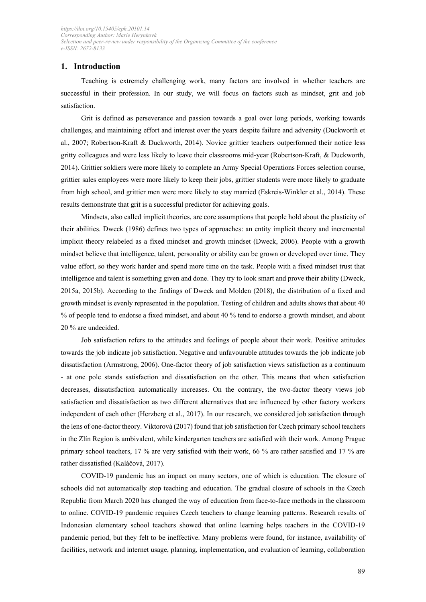## **1. Introduction**

Teaching is extremely challenging work, many factors are involved in whether teachers are successful in their profession. In our study, we will focus on factors such as mindset, grit and job satisfaction.

Grit is defined as perseverance and passion towards a goal over long periods, working towards challenges, and maintaining effort and interest over the years despite failure and adversity (Duckworth et al., 2007; Robertson-Kraft & Duckworth, 2014). Novice grittier teachers outperformed their notice less gritty colleagues and were less likely to leave their classrooms mid-year (Robertson-Kraft, & Duckworth, 2014). Grittier soldiers were more likely to complete an Army Special Operations Forces selection course, grittier sales employees were more likely to keep their jobs, grittier students were more likely to graduate from high school, and grittier men were more likely to stay married (Eskreis-Winkler et al., 2014). These results demonstrate that grit is a successful predictor for achieving goals.

Mindsets, also called implicit theories, are core assumptions that people hold about the plasticity of their abilities. Dweck (1986) defines two types of approaches: an entity implicit theory and incremental implicit theory relabeled as a fixed mindset and growth mindset (Dweck, 2006). People with a growth mindset believe that intelligence, talent, personality or ability can be grown or developed over time. They value effort, so they work harder and spend more time on the task. People with a fixed mindset trust that intelligence and talent is something given and done. They try to look smart and prove their ability (Dweck, 2015a, 2015b). According to the findings of Dweck and Molden (2018), the distribution of a fixed and growth mindset is evenly represented in the population. Testing of children and adults shows that about 40 % of people tend to endorse a fixed mindset, and about 40 % tend to endorse a growth mindset, and about 20 % are undecided.

Job satisfaction refers to the attitudes and feelings of people about their work. Positive attitudes towards the job indicate job satisfaction. Negative and unfavourable attitudes towards the job indicate job dissatisfaction (Armstrong, 2006). One-factor theory of job satisfaction views satisfaction as a continuum - at one pole stands satisfaction and dissatisfaction on the other. This means that when satisfaction decreases, dissatisfaction automatically increases. On the contrary, the two-factor theory views job satisfaction and dissatisfaction as two different alternatives that are influenced by other factory workers independent of each other (Herzberg et al., 2017). In our research, we considered job satisfaction through the lens of one-factor theory. Viktorová (2017) found that job satisfaction for Czech primary school teachers in the Zlín Region is ambivalent, while kindergarten teachers are satisfied with their work. Among Prague primary school teachers, 17 % are very satisfied with their work, 66 % are rather satisfied and 17 % are rather dissatisfied (Kaláčová, 2017).

COVID-19 pandemic has an impact on many sectors, one of which is education. The closure of schools did not automatically stop teaching and education. The gradual closure of schools in the Czech Republic from March 2020 has changed the way of education from face-to-face methods in the classroom to online. COVID-19 pandemic requires Czech teachers to change learning patterns. Research results of Indonesian elementary school teachers showed that online learning helps teachers in the COVID-19 pandemic period, but they felt to be ineffective. Many problems were found, for instance, availability of facilities, network and internet usage, planning, implementation, and evaluation of learning, collaboration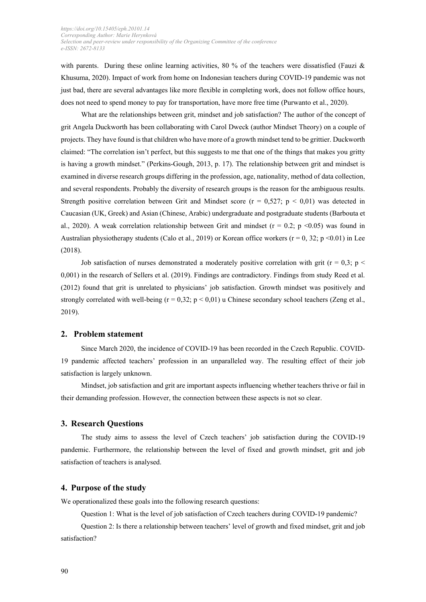with parents. During these online learning activities, 80 % of the teachers were dissatisfied (Fauzi & Khusuma, 2020). Impact of work from home on Indonesian teachers during COVID-19 pandemic was not just bad, there are several advantages like more flexible in completing work, does not follow office hours, does not need to spend money to pay for transportation, have more free time (Purwanto et al., 2020).

What are the relationships between grit, mindset and job satisfaction? The author of the concept of grit Angela Duckworth has been collaborating with Carol Dweck (author Mindset Theory) on a couple of projects. They have found is that children who have more of a growth mindset tend to be grittier. Duckworth claimed: "The correlation isn't perfect, but this suggests to me that one of the things that makes you gritty is having a growth mindset." (Perkins-Gough, 2013, p. 17). The relationship between grit and mindset is examined in diverse research groups differing in the profession, age, nationality, method of data collection, and several respondents. Probably the diversity of research groups is the reason for the ambiguous results. Strength positive correlation between Grit and Mindset score ( $r = 0.527$ ;  $p < 0.01$ ) was detected in Caucasian (UK, Greek) and Asian (Chinese, Arabic) undergraduate and postgraduate students (Barbouta et al., 2020). A weak correlation relationship between Grit and mindset ( $r = 0.2$ ;  $p \le 0.05$ ) was found in Australian physiotherapy students (Calo et al., 2019) or Korean office workers ( $r = 0, 32$ ;  $p \le 0.01$ ) in Lee (2018).

Job satisfaction of nurses demonstrated a moderately positive correlation with grit ( $r = 0.3$ ; p < 0,001) in the research of Sellers et al. (2019). Findings are contradictory. Findings from study Reed et al. (2012) found that grit is unrelated to physicians' job satisfaction. Growth mindset was positively and strongly correlated with well-being  $(r = 0.32; p < 0.01)$  u Chinese secondary school teachers (Zeng et al., 2019).

## **2. Problem statement**

Since March 2020, the incidence of COVID-19 has been recorded in the Czech Republic. COVID-19 pandemic affected teachers' profession in an unparalleled way. The resulting effect of their job satisfaction is largely unknown.

Mindset, job satisfaction and grit are important aspects influencing whether teachers thrive or fail in their demanding profession. However, the connection between these aspects is not so clear.

#### **3. Research Questions**

The study aims to assess the level of Czech teachers' job satisfaction during the COVID-19 pandemic. Furthermore, the relationship between the level of fixed and growth mindset, grit and job satisfaction of teachers is analysed.

#### **4. Purpose of the study**

We operationalized these goals into the following research questions:

Question 1: What is the level of job satisfaction of Czech teachers during COVID-19 pandemic?

Question 2: Is there a relationship between teachers' level of growth and fixed mindset, grit and job satisfaction?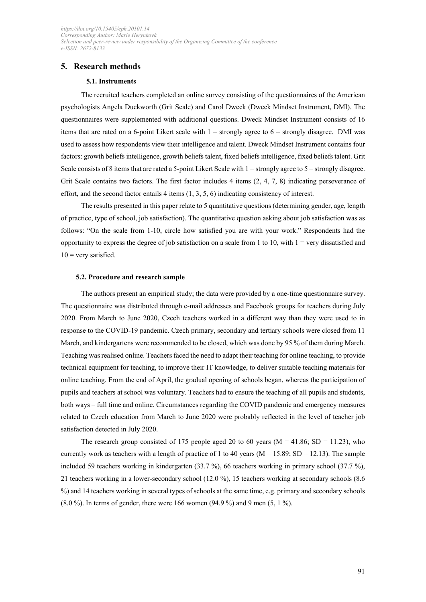## **5. Research methods**

### **5.1. Instruments**

The recruited teachers completed an online survey consisting of the questionnaires of the American psychologists Angela Duckworth (Grit Scale) and Carol Dweck (Dweck Mindset Instrument, DMI). The questionnaires were supplemented with additional questions. Dweck Mindset Instrument consists of 16 items that are rated on a 6-point Likert scale with  $1 =$  strongly agree to  $6 =$  strongly disagree. DMI was used to assess how respondents view their intelligence and talent. Dweck Mindset Instrument contains four factors: growth beliefs intelligence, growth beliefs talent, fixed beliefs intelligence, fixed beliefs talent. Grit Scale consists of 8 items that are rated a 5-point Likert Scale with  $1 =$  strongly agree to  $5 =$  strongly disagree. Grit Scale contains two factors. The first factor includes 4 items  $(2, 4, 7, 8)$  indicating perseverance of effort, and the second factor entails 4 items (1, 3, 5, 6) indicating consistency of interest.

The results presented in this paper relate to 5 quantitative questions (determining gender, age, length of practice, type of school, job satisfaction). The quantitative question asking about job satisfaction was as follows: "On the scale from 1-10, circle how satisfied you are with your work." Respondents had the opportunity to express the degree of job satisfaction on a scale from 1 to 10, with  $1 =$  very dissatisfied and  $10$  = very satisfied.

#### **5.2. Procedure and research sample**

The authors present an empirical study; the data were provided by a one-time questionnaire survey. The questionnaire was distributed through e-mail addresses and Facebook groups for teachers during July 2020. From March to June 2020, Czech teachers worked in a different way than they were used to in response to the COVID-19 pandemic. Czech primary, secondary and tertiary schools were closed from 11 March, and kindergartens were recommended to be closed, which was done by 95 % of them during March. Teaching was realised online. Teachers faced the need to adapt their teaching for online teaching, to provide technical equipment for teaching, to improve their IT knowledge, to deliver suitable teaching materials for online teaching. From the end of April, the gradual opening of schools began, whereas the participation of pupils and teachers at school was voluntary. Teachers had to ensure the teaching of all pupils and students, both ways – full time and online. Circumstances regarding the COVID pandemic and emergency measures related to Czech education from March to June 2020 were probably reflected in the level of teacher job satisfaction detected in July 2020.

The research group consisted of 175 people aged 20 to 60 years ( $M = 41.86$ ; SD = 11.23), who currently work as teachers with a length of practice of 1 to 40 years ( $M = 15.89$ ; SD = 12.13). The sample included 59 teachers working in kindergarten (33.7 %), 66 teachers working in primary school (37.7 %), 21 teachers working in a lower-secondary school (12.0 %), 15 teachers working at secondary schools (8.6 %) and 14 teachers working in several types of schools at the same time, e.g. primary and secondary schools  $(8.0 \%)$ . In terms of gender, there were 166 women  $(94.9 \%)$  and 9 men  $(5, 1 \%)$ .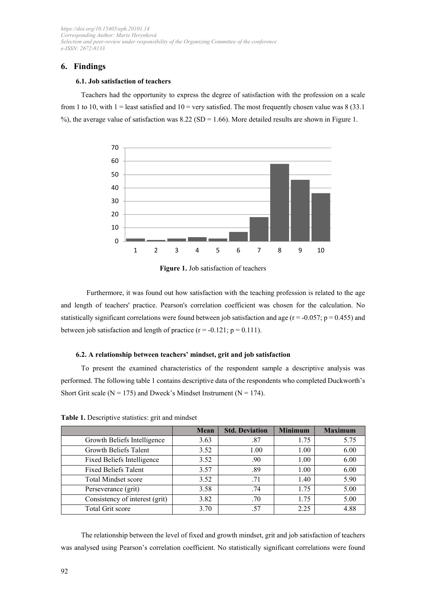## **6. Findings**

#### **6.1. Job satisfaction of teachers**

Teachers had the opportunity to express the degree of satisfaction with the profession on a scale from 1 to 10, with 1 = least satisfied and  $10 =$  very satisfied. The most frequently chosen value was 8 (33.1) %), the average value of satisfaction was  $8.22$  (SD = 1.66). More detailed results are shown in Figure 1.





Furthermore, it was found out how satisfaction with the teaching profession is related to the age and length of teachers' practice. Pearson's correlation coefficient was chosen for the calculation. No statistically significant correlations were found between job satisfaction and age ( $r = -0.057$ ;  $p = 0.455$ ) and between job satisfaction and length of practice  $(r = -0.121; p = 0.111)$ .

#### **6.2. A relationship between teachers' mindset, grit and job satisfaction**

To present the examined characteristics of the respondent sample a descriptive analysis was performed. The following table 1 contains descriptive data of the respondents who completed Duckworth's Short Grit scale ( $N = 175$ ) and Dweck's Mindset Instrument ( $N = 174$ ).

|                                | <b>Mean</b> | <b>Std. Deviation</b> | <b>Minimum</b> | <b>Maximum</b> |
|--------------------------------|-------------|-----------------------|----------------|----------------|
| Growth Beliefs Intelligence    | 3.63        | .87                   | 1.75           | 5.75           |
| Growth Beliefs Talent          | 3.52        | 1.00                  | 1.00           | 6.00           |
| Fixed Beliefs Intelligence     | 3.52        | .90                   | 1.00           | 6.00           |
| <b>Fixed Beliefs Talent</b>    | 3.57        | .89                   | 1.00           | 6.00           |
| Total Mindset score            | 3.52        | .71                   | 1.40           | 5.90           |
| Perseverance (grit)            | 3.58        | .74                   | 1.75           | 5.00           |
| Consistency of interest (grit) | 3.82        | .70                   | 1.75           | 5.00           |
| Total Grit score               | 3.70        | .57                   | 2.25           | 4.88           |

**Table 1.** Descriptive statistics: grit and mindset

The relationship between the level of fixed and growth mindset, grit and job satisfaction of teachers was analysed using Pearson's correlation coefficient. No statistically significant correlations were found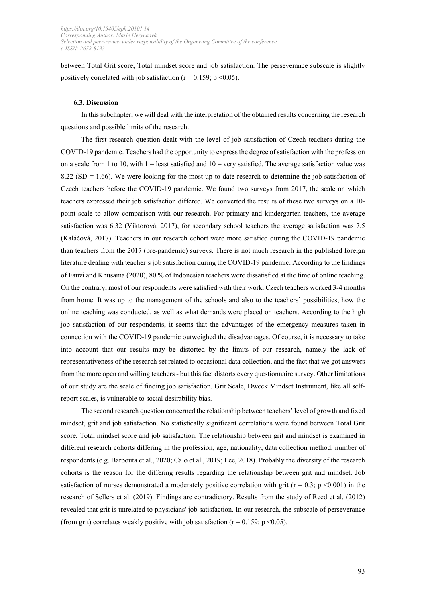between Total Grit score, Total mindset score and job satisfaction. The perseverance subscale is slightly positively correlated with job satisfaction ( $r = 0.159$ ; p <0.05).

#### **6.3. Discussion**

In this subchapter, we will deal with the interpretation of the obtained results concerning the research questions and possible limits of the research.

The first research question dealt with the level of job satisfaction of Czech teachers during the COVID-19 pandemic. Teachers had the opportunity to express the degree of satisfaction with the profession on a scale from 1 to 10, with  $1 =$  least satisfied and  $10 =$  very satisfied. The average satisfaction value was  $8.22$  (SD = 1.66). We were looking for the most up-to-date research to determine the job satisfaction of Czech teachers before the COVID-19 pandemic. We found two surveys from 2017, the scale on which teachers expressed their job satisfaction differed. We converted the results of these two surveys on a 10 point scale to allow comparison with our research. For primary and kindergarten teachers, the average satisfaction was 6.32 (Viktorová, 2017), for secondary school teachers the average satisfaction was 7.5 (Kaláčová, 2017). Teachers in our research cohort were more satisfied during the COVID-19 pandemic than teachers from the 2017 (pre-pandemic) surveys. There is not much research in the published foreign literature dealing with teacher´s job satisfaction during the COVID-19 pandemic. According to the findings of Fauzi and Khusama (2020), 80 % of Indonesian teachers were dissatisfied at the time of online teaching. On the contrary, most of our respondents were satisfied with their work. Czech teachers worked 3-4 months from home. It was up to the management of the schools and also to the teachers' possibilities, how the online teaching was conducted, as well as what demands were placed on teachers. According to the high job satisfaction of our respondents, it seems that the advantages of the emergency measures taken in connection with the COVID-19 pandemic outweighed the disadvantages. Of course, it is necessary to take into account that our results may be distorted by the limits of our research, namely the lack of representativeness of the research set related to occasional data collection, and the fact that we got answers from the more open and willing teachers - but this fact distorts every questionnaire survey. Other limitations of our study are the scale of finding job satisfaction. Grit Scale, Dweck Mindset Instrument, like all selfreport scales, is vulnerable to social desirability bias.

The second research question concerned the relationship between teachers' level of growth and fixed mindset, grit and job satisfaction. No statistically significant correlations were found between Total Grit score, Total mindset score and job satisfaction. The relationship between grit and mindset is examined in different research cohorts differing in the profession, age, nationality, data collection method, number of respondents (e.g. Barbouta et al., 2020; Calo et al., 2019; Lee, 2018). Probably the diversity of the research cohorts is the reason for the differing results regarding the relationship between grit and mindset. Job satisfaction of nurses demonstrated a moderately positive correlation with grit ( $r = 0.3$ ; p <0.001) in the research of Sellers et al. (2019). Findings are contradictory. Results from the study of Reed et al. (2012) revealed that grit is unrelated to physicians' job satisfaction. In our research, the subscale of perseverance (from grit) correlates weakly positive with job satisfaction ( $r = 0.159$ ;  $p \le 0.05$ ).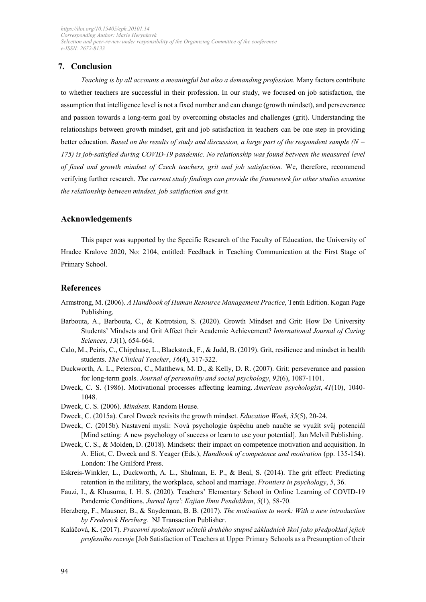## **7. Conclusion**

*Teaching is by all accounts a meaningful but also a demanding profession.* Many factors contribute to whether teachers are successful in their profession. In our study, we focused on job satisfaction, the assumption that intelligence level is not a fixed number and can change (growth mindset), and perseverance and passion towards a long-term goal by overcoming obstacles and challenges (grit). Understanding the relationships between growth mindset, grit and job satisfaction in teachers can be one step in providing better education. *Based on the results of study and discussion, a large part of the respondent sample (N = 175) is job-satisfied during COVID-19 pandemic. No relationship was found between the measured level of fixed and growth mindset of Czech teachers, grit and job satisfaction.* We, therefore, recommend verifying further research. *The current study findings can provide the framework for other studies examine the relationship between mindset, job satisfaction and grit.* 

## **Acknowledgements**

This paper was supported by the Specific Research of the Faculty of Education, the University of Hradec Kralove 2020, No: 2104, entitled: Feedback in Teaching Communication at the First Stage of Primary School.

## **References**

- Armstrong, M. (2006). *A Handbook of Human Resource Management Practice*, Tenth Edition. Kogan Page Publishing.
- Barbouta, A., Barbouta, C., & Kotrotsiou, S. (2020). Growth Mindset and Grit: How Do University Students' Mindsets and Grit Affect their Academic Achievement? *International Journal of Caring Sciences*, *13*(1), 654-664.
- Calo, M., Peiris, C., Chipchase, L., Blackstock, F., & Judd, B. (2019). Grit, resilience and mindset in health students. *The Clinical Teacher*, *16*(4), 317-322.
- Duckworth, A. L., Peterson, C., Matthews, M. D., & Kelly, D. R. (2007). Grit: perseverance and passion for long-term goals. *Journal of personality and social psychology*, *92*(6), 1087-1101.
- Dweck, C. S. (1986). Motivational processes affecting learning. *American psychologist*, *41*(10), 1040- 1048.
- Dweck, C. S. (2006). *Mindsets.* Random House.
- Dweck, C. (2015a). Carol Dweck revisits the growth mindset. *Education Week*, *35*(5), 20-24.
- Dweck, C. (2015b). Nastavení mysli: Nová psychologie úspěchu aneb naučte se využít svůj potenciál [Mind setting: A new psychology of success or learn to use your potential]. Jan Melvil Publishing.
- Dweck, C. S., & Molden, D. (2018). Mindsets: their impact on competence motivation and acquisition. In A. Eliot, C. Dweck and S. Yeager (Eds.), *Handbook of competence and motivation* (pp. 135-154). London: The Guilford Press.
- Eskreis-Winkler, L., Duckworth, A. L., Shulman, E. P., & Beal, S. (2014). The grit effect: Predicting retention in the military, the workplace, school and marriage. *Frontiers in psychology*, *5*, 36.
- Fauzi, I., & Khusuma, I. H. S. (2020). Teachers' Elementary School in Online Learning of COVID-19 Pandemic Conditions. *Jurnal Iqra': Kajian Ilmu Pendidikan*, *5*(1), 58-70.
- Herzberg, F., Mausner, B., & Snyderman, B. B. (2017). *The motivation to work: With a new introduction by Frederick Herzberg.* NJ Transaction Publisher.
- Kaláčová, K. (2017). *Pracovní spokojenost učitelů druhého stupně základních škol jako předpoklad jejich profesního rozvoje* [Job Satisfaction of Teachers at Upper Primary Schools as a Presumption of their